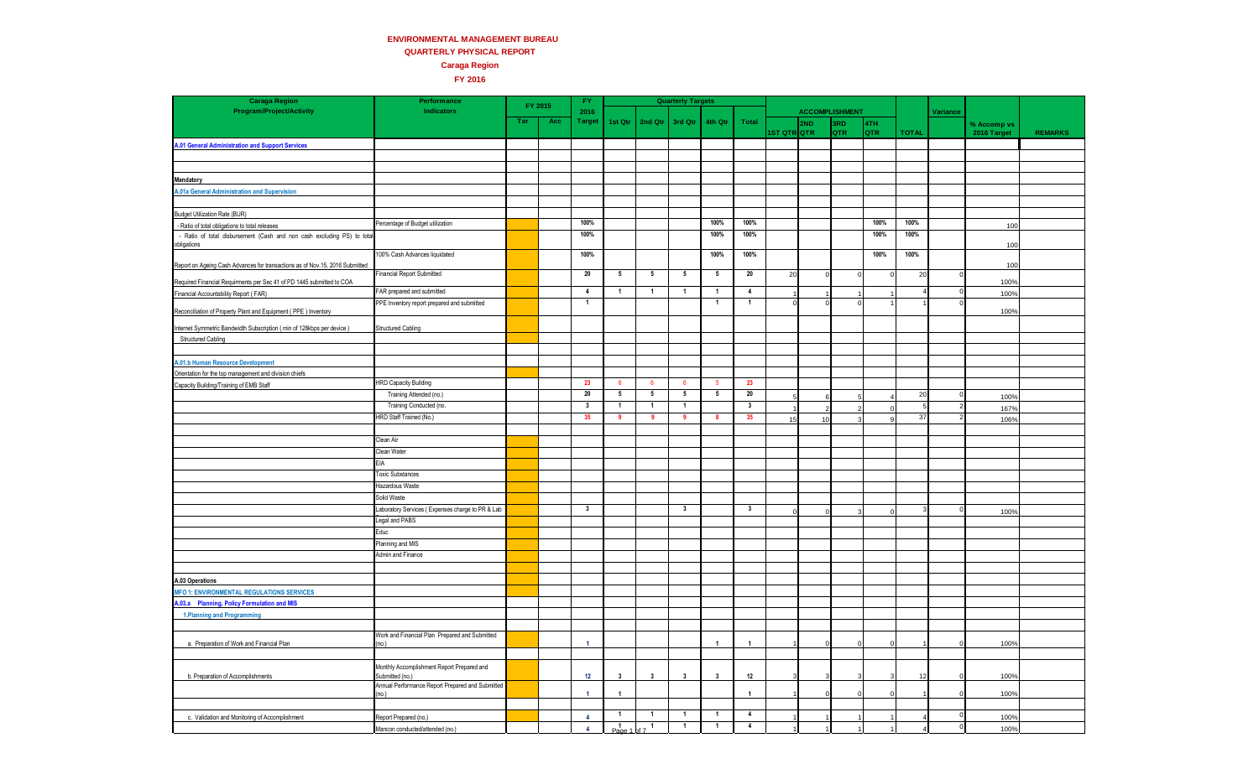## **ENVIRONMENTAL MANAGEMENT BUREAU**

**QUARTERLY PHYSICAL REPORT Caraga Region**

**FY 2016**

| <b>Caraga Region</b>                                                         | Performance                                                   | FY 2015 |     | FY.                     |                         |                   | <b>Quarterly Targets</b> |                         |                         |             |                       |            |      |                |          |             |                |
|------------------------------------------------------------------------------|---------------------------------------------------------------|---------|-----|-------------------------|-------------------------|-------------------|--------------------------|-------------------------|-------------------------|-------------|-----------------------|------------|------|----------------|----------|-------------|----------------|
| <b>Program/Project/Activity</b>                                              | Indicators                                                    |         |     | 2016                    |                         |                   |                          |                         |                         |             | <b>ACCOMPLISHMENT</b> |            |      |                | Variance |             |                |
|                                                                              |                                                               | Tar     | Acc | <b>Target</b>           | 1st Qtr                 | 2nd Qtr           | 3rd Qtr                  | 4th Qtr                 | Total                   |             | 2ND                   | 3RD        | 4TH  |                |          | % Accomp vs |                |
|                                                                              |                                                               |         |     |                         |                         |                   |                          |                         |                         | 1ST QTR QTR |                       | <b>QTR</b> | QTR  | <b>TOTAL</b>   |          | 2016 Target | <b>REMARKS</b> |
| A.01 General Administration and Support Services                             |                                                               |         |     |                         |                         |                   |                          |                         |                         |             |                       |            |      |                |          |             |                |
|                                                                              |                                                               |         |     |                         |                         |                   |                          |                         |                         |             |                       |            |      |                |          |             |                |
|                                                                              |                                                               |         |     |                         |                         |                   |                          |                         |                         |             |                       |            |      |                |          |             |                |
| Mandatory                                                                    |                                                               |         |     |                         |                         |                   |                          |                         |                         |             |                       |            |      |                |          |             |                |
| A.01a General Administration and Supervision                                 |                                                               |         |     |                         |                         |                   |                          |                         |                         |             |                       |            |      |                |          |             |                |
|                                                                              |                                                               |         |     |                         |                         |                   |                          |                         |                         |             |                       |            |      |                |          |             |                |
| <b>Budget Utilization Rate (BUR)</b>                                         |                                                               |         |     |                         |                         |                   |                          |                         |                         |             |                       |            |      |                |          |             |                |
| - Ratio of total obligations to total releases                               | Percentage of Budget utilization                              |         |     | 100%                    |                         |                   |                          | 100%                    | 100%                    |             |                       |            | 100% | 100%           |          | 100         |                |
| - Ratio of total disbursement (Cash and non cash excluding PS) to total      |                                                               |         |     | 100%                    |                         |                   |                          | 100%                    | 100%                    |             |                       |            | 100% | 100%           |          |             |                |
| obligations                                                                  |                                                               |         |     |                         |                         |                   |                          |                         |                         |             |                       |            |      |                |          | 100         |                |
|                                                                              | 100% Cash Advances liquidated                                 |         |     | 100%                    |                         |                   |                          | 100%                    | 100%                    |             |                       |            | 100% | 100%           |          |             |                |
| Report on Ageing Cash Advances for transactions as of Nov.15, 2016 Submitted |                                                               |         |     |                         |                         |                   |                          |                         |                         |             |                       |            |      |                |          | 100         |                |
| Required Financial Requirments per Sec 41 of PD 1445 submitted to COA        | <b>Financial Report Submitted</b>                             |         |     | 20                      | 5                       | 5                 | 5                        | 5                       | 20                      | 20          |                       | $\Omega$   |      | 20             |          | 100%        |                |
|                                                                              | FAR prepared and submitted                                    |         |     | $\overline{4}$          | $\mathbf{1}$            | $\overline{1}$    | $\mathbf{1}$             | $\mathbf{1}$            | $\overline{4}$          |             |                       |            |      | $\overline{4}$ |          |             |                |
| Financial Accountability Report (FAR)                                        | PPE Inventory report prepared and submitted                   |         |     | $\mathbf{1}$            |                         |                   |                          | $\overline{1}$          | $\overline{1}$          |             |                       |            |      |                |          | 100%        |                |
| Reconciliation of Property Plant and Equipment (PPE) Inventory               |                                                               |         |     |                         |                         |                   |                          |                         |                         |             |                       |            |      |                |          | 100%        |                |
| Internet Symmetric Bandwidth Subscription (min of 128kbps per device)        | <b>Structured Cabling</b>                                     |         |     |                         |                         |                   |                          |                         |                         |             |                       |            |      |                |          |             |                |
|                                                                              |                                                               |         |     |                         |                         |                   |                          |                         |                         |             |                       |            |      |                |          |             |                |
| Structured Cabling                                                           |                                                               |         |     |                         |                         |                   |                          |                         |                         |             |                       |            |      |                |          |             |                |
|                                                                              |                                                               |         |     |                         |                         |                   |                          |                         |                         |             |                       |            |      |                |          |             |                |
| A.01.b Human Resource Development                                            |                                                               |         |     |                         |                         |                   |                          |                         |                         |             |                       |            |      |                |          |             |                |
| Orientation for the top management and division chiefs                       | <b>HRD Capacity Building</b>                                  |         |     | 23                      | - 6                     | 6                 | 6                        | -5                      | 23                      |             |                       |            |      |                |          |             |                |
| Capacity Building/Training of EMB Staff                                      | Training Attended (no.)                                       |         |     | 20                      | 5                       | 5                 | 5                        | 5                       | 20                      |             |                       |            |      | 20             |          |             |                |
|                                                                              | Training Conducted (no.                                       |         |     | $\overline{\mathbf{3}}$ | $\mathbf{1}$            | $\overline{1}$    | $\mathbf{1}$             |                         | $\overline{\mathbf{3}}$ |             |                       |            |      | 5              |          | 100%        |                |
|                                                                              | HRD Staff Trained (No.)                                       |         |     | 35                      | -9                      | -9                | 9                        | -8                      | 35                      |             | ຳ                     |            |      | 37             |          | 167%        |                |
|                                                                              |                                                               |         |     |                         |                         |                   |                          |                         |                         | 15          | 10                    |            |      |                |          | 106%        |                |
|                                                                              | Clean Air                                                     |         |     |                         |                         |                   |                          |                         |                         |             |                       |            |      |                |          |             |                |
|                                                                              | Clean Water                                                   |         |     |                         |                         |                   |                          |                         |                         |             |                       |            |      |                |          |             |                |
|                                                                              | <b>EIA</b>                                                    |         |     |                         |                         |                   |                          |                         |                         |             |                       |            |      |                |          |             |                |
|                                                                              |                                                               |         |     |                         |                         |                   |                          |                         |                         |             |                       |            |      |                |          |             |                |
|                                                                              | <b>Toxic Substances</b>                                       |         |     |                         |                         |                   |                          |                         |                         |             |                       |            |      |                |          |             |                |
|                                                                              | Hazardous Waste                                               |         |     |                         |                         |                   |                          |                         |                         |             |                       |            |      |                |          |             |                |
|                                                                              | Solid Waste                                                   |         |     |                         |                         |                   |                          |                         |                         |             |                       |            |      |                |          |             |                |
|                                                                              | Laboratory Services (Expenses charge to PR & Lab              |         |     | $\mathbf{3}$            |                         |                   | $\mathbf{3}$             |                         | $\mathbf{3}$            |             |                       |            |      |                |          | 100%        |                |
|                                                                              | Legal and PABS                                                |         |     |                         |                         |                   |                          |                         |                         |             |                       |            |      |                |          |             |                |
|                                                                              | Educ                                                          |         |     |                         |                         |                   |                          |                         |                         |             |                       |            |      |                |          |             |                |
|                                                                              | Planning and MIS                                              |         |     |                         |                         |                   |                          |                         |                         |             |                       |            |      |                |          |             |                |
|                                                                              | Admin and Finance                                             |         |     |                         |                         |                   |                          |                         |                         |             |                       |            |      |                |          |             |                |
|                                                                              |                                                               |         |     |                         |                         |                   |                          |                         |                         |             |                       |            |      |                |          |             |                |
| A.03 Operations                                                              |                                                               |         |     |                         |                         |                   |                          |                         |                         |             |                       |            |      |                |          |             |                |
| <b>IFO 1: ENVIRONMENTAL REGULATIONS SERVICES</b>                             |                                                               |         |     |                         |                         |                   |                          |                         |                         |             |                       |            |      |                |          |             |                |
| 03.a Planning, Policy Formulation and MIS                                    |                                                               |         |     |                         |                         |                   |                          |                         |                         |             |                       |            |      |                |          |             |                |
| 1. Planning and Programming                                                  |                                                               |         |     |                         |                         |                   |                          |                         |                         |             |                       |            |      |                |          |             |                |
|                                                                              |                                                               |         |     |                         |                         |                   |                          |                         |                         |             |                       |            |      |                |          |             |                |
|                                                                              | Work and Financial Plan Prepared and Submitted                |         |     |                         |                         |                   |                          |                         |                         |             |                       |            |      |                |          |             |                |
| a. Preparation of Work and Financial Plan                                    | (no.)                                                         |         |     | $\overline{1}$          |                         |                   |                          | $\overline{1}$          | $\overline{1}$          |             |                       |            |      |                |          | 100%        |                |
|                                                                              |                                                               |         |     |                         |                         |                   |                          |                         |                         |             |                       |            |      |                |          |             |                |
| b. Preparation of Accomplishments                                            | Monthly Accomplishment Report Prepared and<br>Submitted (no.) |         |     | 12                      | $\overline{\mathbf{3}}$ | $\mathbf{3}$      | $\mathbf{3}$             | $\overline{\mathbf{3}}$ | $12\,$                  |             |                       |            |      | 12             |          | 100%        |                |
|                                                                              | Annual Performance Report Prepared and Submitted              |         |     |                         |                         |                   |                          |                         |                         |             |                       |            |      |                |          |             |                |
|                                                                              | (no.)                                                         |         |     | $\overline{1}$          | $\overline{1}$          |                   |                          |                         | $\overline{1}$          |             |                       |            |      |                |          | 100%        |                |
|                                                                              |                                                               |         |     |                         |                         |                   |                          |                         |                         |             |                       |            |      |                |          |             |                |
| c. Validation and Monitoring of Accomplishment                               | Report Prepared (no.)                                         |         |     | $\overline{4}$          | $\overline{1}$          | $\overline{1}$    | $\mathbf{1}$             | $\overline{1}$          | $\overline{4}$          |             |                       |            |      |                |          | 100%        |                |
|                                                                              | Mancon conducted/attended (no.)                               |         |     | $\overline{4}$          | $P_{\text{a}de}$        | $t^{\frac{1}{1}}$ | 1                        | $\overline{1}$          | $\overline{4}$          |             |                       |            |      |                |          | 100%        |                |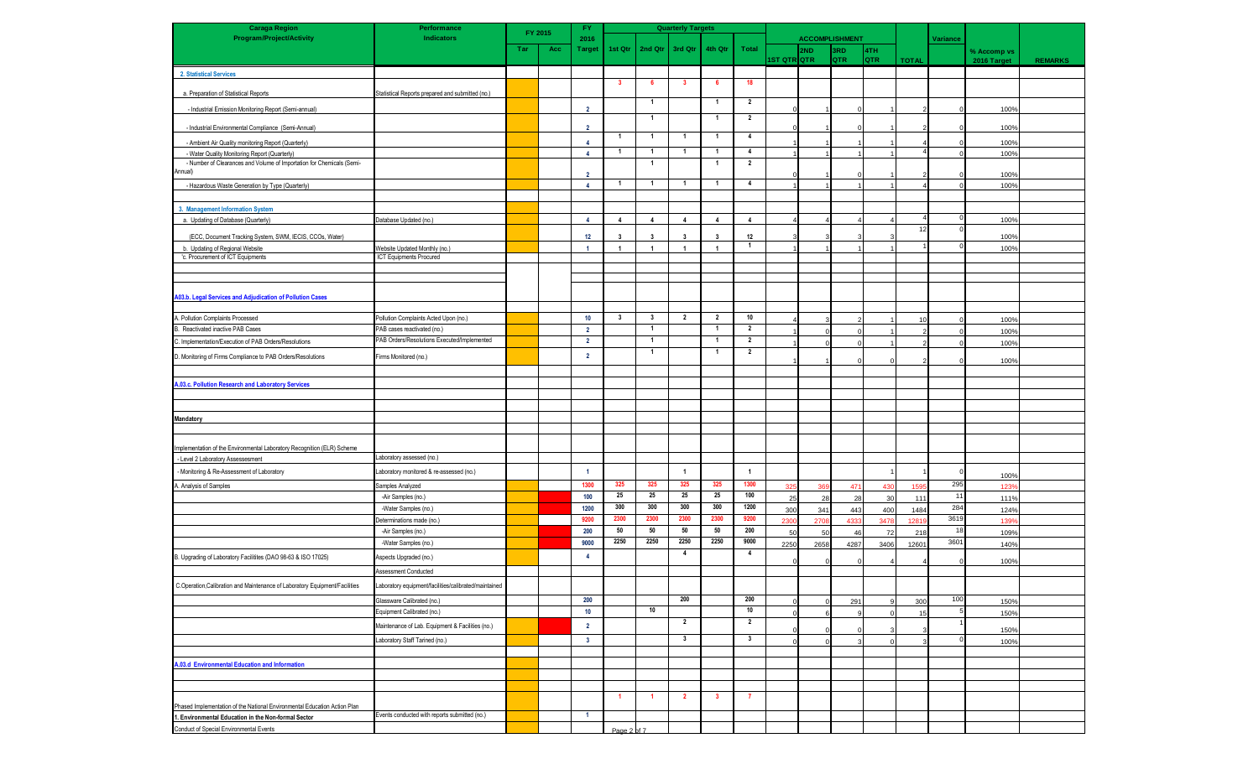| <b>Caraga Region</b>                                                        | Performance                                           |     | FY 2015 | <b>Quarterly Targets</b><br>FY. |                |                         |                         |                         |                |             |                       |      |            |              |            |             |                |
|-----------------------------------------------------------------------------|-------------------------------------------------------|-----|---------|---------------------------------|----------------|-------------------------|-------------------------|-------------------------|----------------|-------------|-----------------------|------|------------|--------------|------------|-------------|----------------|
| <b>Program/Project/Activity</b>                                             | <b>Indicators</b>                                     |     |         | 2016                            |                |                         |                         |                         |                |             | <b>ACCOMPLISHMENT</b> |      |            |              | Variance   |             |                |
|                                                                             |                                                       | Tar | Acc     | <b>Target</b>                   | 1st Qtr        | 2nd Qtr                 | 3rd Qtr                 | 4th Qtr                 | Total          |             | 2ND                   | 3RD  | 4TH        |              |            | % Accomp vs |                |
|                                                                             |                                                       |     |         |                                 |                |                         |                         |                         |                | ist otrlotr |                       | QTR  | <b>QTR</b> | <b>TOTAL</b> |            | 2016 Target | <b>REMARKS</b> |
| 2. Statistical Services                                                     |                                                       |     |         |                                 |                |                         |                         |                         |                |             |                       |      |            |              |            |             |                |
|                                                                             |                                                       |     |         |                                 | $\mathbf{3}$   | 6                       | $\mathbf{3}$            | 6                       | 18             |             |                       |      |            |              |            |             |                |
| a. Preparation of Statistical Reports                                       | Statistical Reports prepared and submitted (no.)      |     |         |                                 |                | $\mathbf{1}$            |                         | $\overline{1}$          | $\overline{2}$ |             |                       |      |            |              |            |             |                |
| - Industrial Emission Monitoring Report (Semi-annual)                       |                                                       |     |         | $\overline{2}$                  |                |                         |                         |                         |                |             |                       |      |            |              |            | 100%        |                |
|                                                                             |                                                       |     |         |                                 |                | $\mathbf{1}$            |                         | $\overline{1}$          | $\overline{2}$ |             |                       |      |            |              |            |             |                |
| - Industrial Environmental Compliance (Semi-Annual)                         |                                                       |     |         | $\overline{2}$                  | -1             | $\overline{1}$          | $\overline{1}$          | $\overline{1}$          | $\overline{4}$ |             |                       |      |            |              | $\Omega$   | 100%        |                |
| - Ambient Air Quality monitoring Report (Quarterly)                         |                                                       |     |         | $\overline{4}$                  |                |                         |                         |                         |                |             |                       |      |            |              | $\Omega$   | 100%        |                |
| - Water Quality Monitoring Report (Quarterly)                               |                                                       |     |         | $\Delta$                        | -1             | $\mathbf{1}$            | $\mathbf{1}$            | $\overline{1}$          | $\overline{4}$ |             |                       |      |            |              |            | 100%        |                |
| - Number of Clearances and Volume of Importation for Chemicals (Semi-       |                                                       |     |         |                                 |                | $\mathbf{1}$            |                         | $\overline{1}$          | $\overline{2}$ |             |                       |      |            |              |            |             |                |
| Annual)                                                                     |                                                       |     |         | $\overline{2}$                  | -1             | $\overline{1}$          | $\mathbf{1}$            | $\overline{1}$          | $\overline{4}$ |             |                       |      |            |              | ∩          | 100%        |                |
| - Hazardous Waste Generation by Type (Quarterly)                            |                                                       |     |         | $\overline{4}$                  |                |                         |                         |                         |                |             |                       |      |            |              |            | 100%        |                |
|                                                                             |                                                       |     |         |                                 |                |                         |                         |                         |                |             |                       |      |            |              |            |             |                |
| 3. Management Information System                                            |                                                       |     |         |                                 |                |                         |                         |                         |                |             |                       |      |            |              |            |             |                |
| a. Updating of Database (Quarterly)                                         | Database Updated (no.)                                |     |         | $\overline{4}$                  | $\overline{4}$ | $\overline{4}$          | $\mathbf{A}$            | $\overline{4}$          | $\overline{4}$ |             |                       |      |            |              |            | 100%        |                |
| (ECC, Document Tracking System, SWM, IECIS, CCOs, Water)                    |                                                       |     |         | 12                              | -3             | $\overline{\mathbf{3}}$ | 3                       | 3                       | 12             |             |                       |      |            | 12           |            | 100%        |                |
| b. Updating of Regional Website                                             | Vebsite Updated Monthly (no.)                         |     |         | $\blacktriangleleft$            | $\overline{1}$ | $\overline{1}$          | $\overline{1}$          | $\overline{1}$          | $\mathbf{1}$   |             |                       |      |            |              | $\Omega$   | 100%        |                |
| 'c. Procurement of ICT Equipments                                           | ICT Equipments Procured                               |     |         |                                 |                |                         |                         |                         |                |             |                       |      |            |              |            |             |                |
|                                                                             |                                                       |     |         |                                 |                |                         |                         |                         |                |             |                       |      |            |              |            |             |                |
|                                                                             |                                                       |     |         |                                 |                |                         |                         |                         |                |             |                       |      |            |              |            |             |                |
| A03.b. Legal Services and Adjudication of Pollution Cases                   |                                                       |     |         |                                 |                |                         |                         |                         |                |             |                       |      |            |              |            |             |                |
|                                                                             |                                                       |     |         |                                 |                |                         |                         |                         |                |             |                       |      |            |              |            |             |                |
| A. Pollution Complaints Processed                                           | Pollution Complaints Acted Upon (no.)                 |     |         | 10                              | $\mathbf{3}$   | $\overline{\mathbf{3}}$ | $\overline{2}$          | $\overline{2}$          | 10             |             |                       |      |            | 10           |            | 100%        |                |
| B. Reactivated inactive PAB Cases                                           | PAB cases reactivated (no.)                           |     |         | $\overline{2}$                  |                | $\overline{1}$          |                         | $\overline{1}$          | $\overline{2}$ |             |                       |      |            |              |            | 100%        |                |
| C. Implementation/Execution of PAB Orders/Resolutions                       | PAB Orders/Resolutions Executed/Implemented           |     |         | $\overline{2}$                  |                | $\mathbf{1}$            |                         | $\overline{1}$          | $\overline{2}$ |             |                       |      |            |              |            | 100%        |                |
|                                                                             |                                                       |     |         |                                 |                | $\mathbf{1}$            |                         | $\overline{1}$          | $\overline{2}$ |             |                       |      |            |              |            |             |                |
| D. Monitoring of Firms Compliance to PAB Orders/Resolutions                 | Firms Monitored (no.)                                 |     |         | $\mathbf{2}$                    |                |                         |                         |                         |                |             |                       |      |            |              |            | 100%        |                |
|                                                                             |                                                       |     |         |                                 |                |                         |                         |                         |                |             |                       |      |            |              |            |             |                |
| A.03.c. Pollution Research and Laboratory Services                          |                                                       |     |         |                                 |                |                         |                         |                         |                |             |                       |      |            |              |            |             |                |
|                                                                             |                                                       |     |         |                                 |                |                         |                         |                         |                |             |                       |      |            |              |            |             |                |
|                                                                             |                                                       |     |         |                                 |                |                         |                         |                         |                |             |                       |      |            |              |            |             |                |
| Mandatory                                                                   |                                                       |     |         |                                 |                |                         |                         |                         |                |             |                       |      |            |              |            |             |                |
|                                                                             |                                                       |     |         |                                 |                |                         |                         |                         |                |             |                       |      |            |              |            |             |                |
|                                                                             |                                                       |     |         |                                 |                |                         |                         |                         |                |             |                       |      |            |              |            |             |                |
| Implementation of the Environmental Laboratory Recognition (ELR) Scheme     |                                                       |     |         |                                 |                |                         |                         |                         |                |             |                       |      |            |              |            |             |                |
| - Level 2 Laboratory Assessesment                                           | Laboratory assessed (no.)                             |     |         |                                 |                |                         |                         |                         |                |             |                       |      |            |              |            |             |                |
| - Monitoring & Re-Assessment of Laboratory                                  | Laboratory monitored & re-assessed (no.)              |     |         | $\overline{1}$                  |                |                         | $\overline{1}$          |                         | $\mathbf{1}$   |             |                       |      |            |              |            | 100%        |                |
| A. Analysis of Samples                                                      | Samples Analyzed                                      |     |         | 1300                            | 325            | 325                     | 325                     | 325                     | 1300           | 325         | 36                    | 471  | 430        | 1595         | 295        | 1239        |                |
|                                                                             | -Air Samples (no.)                                    |     |         | 100                             | 25             | 25                      | 25                      | 25                      | 100            | 25          | 28                    | 28   | 30         | 111          | 11         | 111%        |                |
|                                                                             | -Water Samples (no.)                                  |     |         | 1200                            | 300            | 300                     | 300                     | 300                     | 1200           | 300         | 341                   | 443  | 400        | 1484         | 284        | 124%        |                |
|                                                                             | Determinations made (no.)                             |     |         | 9200                            | 2300           | 2300                    | 2300                    | 2300                    | 9200           | 230         | 270                   | 433  | 3478       | 1281         | 3619       | 1399        |                |
|                                                                             | -Air Samples (no.)                                    |     |         | 200                             | 50             | 50                      | 50                      | 50                      | 200            | 50          | 50                    | 46   | 72         | 218          | 18         | 109%        |                |
|                                                                             | -Water Samples (no.)                                  |     |         | 9000                            | 2250           | 2250                    | 2250                    | 2250                    | 9000           | 2250        | 2658                  | 4287 | 3406       | 12601        | 3601       | 140%        |                |
| B. Upgrading of Laboratory Facilitites (DAO 98-63 & ISO 17025)              | Aspects Upgraded (no.)                                |     |         | $\overline{4}$                  |                |                         | $\overline{4}$          |                         | $\overline{4}$ |             |                       |      |            |              | $\Omega$   |             |                |
|                                                                             | Assessment Conducted                                  |     |         |                                 |                |                         |                         |                         |                |             |                       |      |            |              |            | 100%        |                |
|                                                                             |                                                       |     |         |                                 |                |                         |                         |                         |                |             |                       |      |            |              |            |             |                |
| C.Operation, Calibration and Maintenance of Laboratory Equipment/Facilities | Laboratory equipment/facilities/calibrated/maintained |     |         |                                 |                |                         |                         |                         |                |             |                       |      |            |              |            |             |                |
|                                                                             | Glassware Calibrated (no.)                            |     |         | 200                             |                |                         | 200                     |                         | 200            |             |                       | 291  |            | 300          | 100        | 150%        |                |
|                                                                             | Equipment Calibrated (no.)                            |     |         | 10                              |                | $10\,$                  |                         |                         | 10             |             |                       |      |            | 15           |            | 150%        |                |
|                                                                             | Maintenance of Lab. Equipment & Facilities (no.)      |     |         | $\overline{2}$                  |                |                         | $\overline{2}$          |                         | $\overline{2}$ |             |                       |      |            |              |            | 150%        |                |
|                                                                             | Laboratory Staff Tarined (no.)                        |     |         | $\overline{\mathbf{3}}$         |                |                         | $\overline{\mathbf{3}}$ |                         | $\mathbf{3}$   |             |                       |      |            |              | $^{\circ}$ | 100%        |                |
|                                                                             |                                                       |     |         |                                 |                |                         |                         |                         |                |             |                       |      |            |              |            |             |                |
| A.03.d Environmental Education and Information                              |                                                       |     |         |                                 |                |                         |                         |                         |                |             |                       |      |            |              |            |             |                |
|                                                                             |                                                       |     |         |                                 |                |                         |                         |                         |                |             |                       |      |            |              |            |             |                |
|                                                                             |                                                       |     |         |                                 |                |                         |                         |                         |                |             |                       |      |            |              |            |             |                |
|                                                                             |                                                       |     |         |                                 | $\overline{1}$ | $\blacktriangleleft$    | $\overline{2}$          | $\overline{\mathbf{3}}$ | $\overline{7}$ |             |                       |      |            |              |            |             |                |
| Phased Implementation of the National Environmental Education Action Plan   |                                                       |     |         |                                 |                |                         |                         |                         |                |             |                       |      |            |              |            |             |                |
| 1. Environmental Education in the Non-formal Sector                         | Events conducted with reports submitted (no.)         |     |         | $\overline{1}$                  |                |                         |                         |                         |                |             |                       |      |            |              |            |             |                |
| Conduct of Special Environmental Events                                     |                                                       |     |         |                                 | Page 2 of 7    |                         |                         |                         |                |             |                       |      |            |              |            |             |                |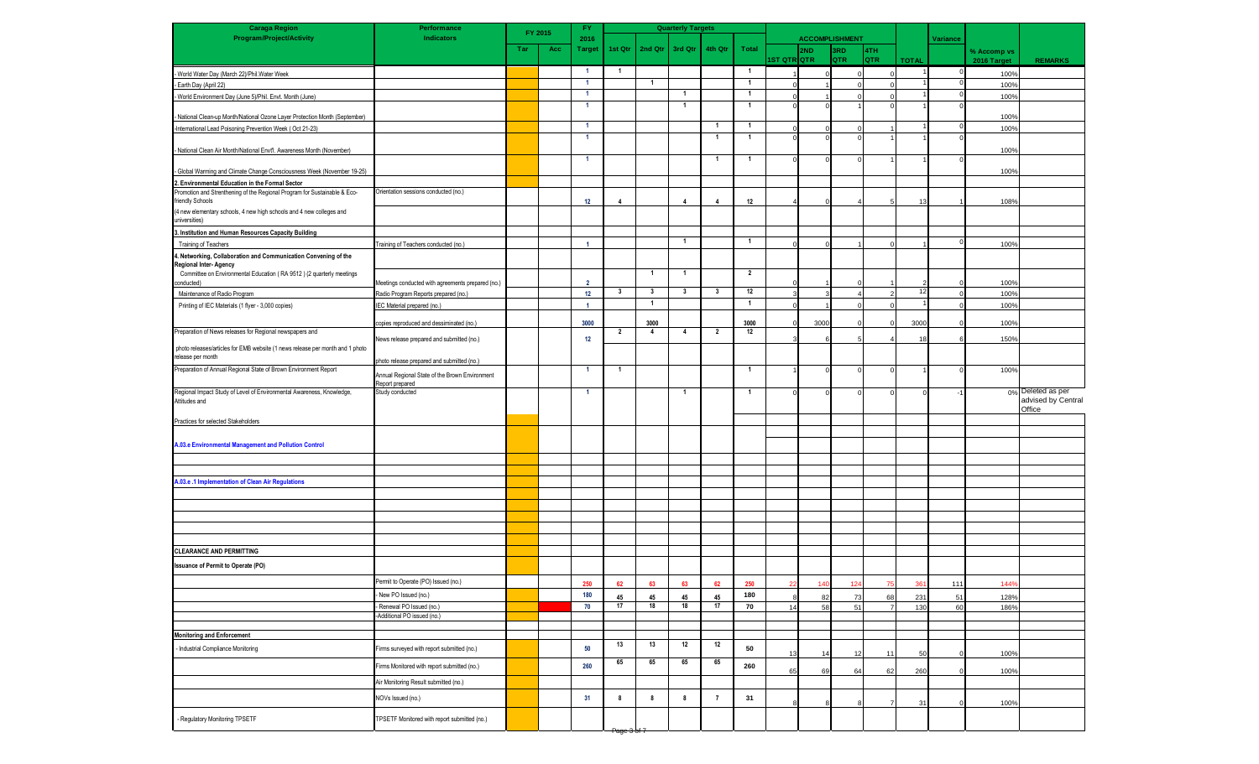| <b>Caraga Region</b>                                                                                                       | Performance<br><b>Indicators</b>                  |     | FY 2015 | FY.                  |                         |                         | <b>Quarterly Targets</b> |                         |                |                    |                |                              |            |              |          |             |                                         |
|----------------------------------------------------------------------------------------------------------------------------|---------------------------------------------------|-----|---------|----------------------|-------------------------|-------------------------|--------------------------|-------------------------|----------------|--------------------|----------------|------------------------------|------------|--------------|----------|-------------|-----------------------------------------|
| <b>Program/Project/Activity</b>                                                                                            |                                                   | Tar | Acc     | 2016<br>Target       | 1st Qtr                 | 2nd Qtr                 | 3rd Qtr                  | 4th Qtr                 | <b>Total</b>   |                    | 2ND            | <b>ACCOMPLISHMENT</b><br>3RD | 4TH        |              | Variance | % Accomp vs |                                         |
|                                                                                                                            |                                                   |     |         |                      |                         |                         |                          |                         |                | <b>IST QTR∣QTR</b> |                | QTR                          | <b>QTR</b> | <b>TOTAL</b> |          | 2016 Target | <b>REMARKS</b>                          |
| - World Water Day (March 22)/Phil. Water Week                                                                              |                                                   |     |         | - 1                  | $\overline{1}$          |                         |                          |                         | $\overline{1}$ |                    |                |                              | $\sqrt{2}$ |              |          | 100%        |                                         |
| - Earth Day (April 22)                                                                                                     |                                                   |     |         | $\overline{1}$       |                         | $\mathbf{1}$            |                          |                         | $\overline{1}$ |                    |                |                              |            |              |          | 100%        |                                         |
| - World Environment Day (June 5)/Phil. Envt. Month (June)                                                                  |                                                   |     |         | $\overline{1}$       |                         |                         | -1                       |                         | $\mathbf{1}$   |                    |                |                              |            |              | $\Omega$ | 100%        |                                         |
| - National Clean-up Month/National Ozone Layer Protection Month (September)                                                |                                                   |     |         | $\overline{1}$       |                         |                         |                          |                         | $\overline{1}$ |                    |                |                              |            |              | $\Omega$ | 100%        |                                         |
| -International Lead Poisoning Prevention Week (Oct 21-23)                                                                  |                                                   |     |         | $\overline{1}$       |                         |                         |                          | $\overline{1}$          | $\overline{1}$ |                    |                |                              |            |              | $\Omega$ | 100%        |                                         |
|                                                                                                                            |                                                   |     |         | $\overline{1}$       |                         |                         |                          | $\overline{\mathbf{1}}$ | $\overline{1}$ |                    |                |                              |            |              |          |             |                                         |
| - National Clean Air Month/National Envt'l. Awareness Month (November)                                                     |                                                   |     |         |                      |                         |                         |                          |                         |                |                    |                |                              |            |              |          | 100%        |                                         |
|                                                                                                                            |                                                   |     |         | $\overline{1}$       |                         |                         |                          | $\overline{\mathbf{1}}$ | $\overline{1}$ |                    |                |                              |            |              |          |             |                                         |
| - Global Warming and Climate Change Consciousness Week (November 19-25)<br>2. Environmental Education in the Formal Sector |                                                   |     |         |                      |                         |                         |                          |                         |                |                    |                |                              |            |              |          | 100%        |                                         |
| Promotion and Strenthening of the Regional Program for Sustainable & Eco-                                                  | Orientation sessions conducted (no.)              |     |         |                      |                         |                         |                          |                         |                |                    |                |                              |            |              |          |             |                                         |
| friendly Schools                                                                                                           |                                                   |     |         | 12                   | $\overline{4}$          |                         | $\overline{4}$           | $\overline{4}$          | 12             |                    |                |                              |            | 13           |          | 108%        |                                         |
| (4 new elementary schools, 4 new high schools and 4 new colleges and<br>universities)                                      |                                                   |     |         |                      |                         |                         |                          |                         |                |                    |                |                              |            |              |          |             |                                         |
| 3. Institution and Human Resources Capacity Building                                                                       |                                                   |     |         |                      |                         |                         |                          |                         |                |                    |                |                              |            |              |          |             |                                         |
| Training of Teachers                                                                                                       | Training of Teachers conducted (no.)              |     |         | $\blacktriangleleft$ |                         |                         | -1                       |                         | $\mathbf{1}$   |                    |                |                              |            |              | $\Omega$ | 100%        |                                         |
| 1. Networking, Collaboration and Communication Convening of the                                                            |                                                   |     |         |                      |                         |                         |                          |                         |                |                    |                |                              |            |              |          |             |                                         |
| Regional Inter-Agency                                                                                                      |                                                   |     |         |                      |                         | $\overline{1}$          | $\overline{1}$           |                         | $\overline{2}$ |                    |                |                              |            |              |          |             |                                         |
| Committee on Environmental Education (RA 9512) (2 quarterly meetings<br>conducted)                                         | Meetings conducted with agreements prepared (no.) |     |         | $\overline{2}$       |                         |                         |                          |                         |                |                    |                |                              |            |              |          | 100%        |                                         |
| Maintenance of Radio Program                                                                                               | Radio Program Reports prepared (no.)              |     |         | 12                   | $\overline{\mathbf{3}}$ | $\overline{\mathbf{3}}$ | $\overline{\mathbf{3}}$  | $\overline{\mathbf{3}}$ | 12             |                    |                |                              |            | 12           |          | 100%        |                                         |
| Printing of IEC Materials (1 flyer - 3,000 copies)                                                                         | IEC Material prepared (no.)                       |     |         | $\blacktriangleleft$ |                         | $\overline{1}$          |                          |                         | $\overline{1}$ |                    |                |                              |            |              |          | 100%        |                                         |
|                                                                                                                            | copies reproduced and dessiminated (no.)          |     |         | 3000                 |                         | 3000                    |                          |                         | 3000           |                    | 3000           |                              |            | 3000         |          | 100%        |                                         |
| Preparation of News releases for Regional newspapers and                                                                   |                                                   |     |         |                      | $\overline{2}$          | $\overline{4}$          | $\overline{4}$           | $\overline{2}$          | 12             |                    |                |                              |            |              |          |             |                                         |
| photo releases/articles for EMB website (1 news release per month and 1 photo                                              | News release prepared and submitted (no.)         |     |         | 12                   |                         |                         |                          |                         |                |                    |                |                              |            | 18           |          | 150%        |                                         |
| release per month                                                                                                          | photo release prepared and submitted (no.)        |     |         |                      |                         |                         |                          |                         |                |                    |                |                              |            |              |          |             |                                         |
| Preparation of Annual Regional State of Brown Environment Report                                                           | Annual Regional State of the Brown Environment    |     |         | $\overline{1}$       | $\overline{1}$          |                         |                          |                         | $\overline{1}$ |                    |                |                              |            |              | n        | 100%        |                                         |
|                                                                                                                            | Report prepared                                   |     |         |                      |                         |                         |                          |                         |                |                    |                |                              |            |              |          |             |                                         |
| Regional Impact Study of Level of Environmental Awareness, Knowledge,<br>Attitudes and                                     | Study conducted                                   |     |         | $\overline{1}$       |                         |                         | $\overline{\mathbf{1}}$  |                         | $\overline{1}$ |                    |                |                              |            |              |          |             | 0% Deleted as per<br>advised by Central |
|                                                                                                                            |                                                   |     |         |                      |                         |                         |                          |                         |                |                    |                |                              |            |              |          |             | Office                                  |
| Practices for selected Stakeholders                                                                                        |                                                   |     |         |                      |                         |                         |                          |                         |                |                    |                |                              |            |              |          |             |                                         |
|                                                                                                                            |                                                   |     |         |                      |                         |                         |                          |                         |                |                    |                |                              |            |              |          |             |                                         |
| A.03.e Environmental Management and Pollution Control                                                                      |                                                   |     |         |                      |                         |                         |                          |                         |                |                    |                |                              |            |              |          |             |                                         |
|                                                                                                                            |                                                   |     |         |                      |                         |                         |                          |                         |                |                    |                |                              |            |              |          |             |                                         |
|                                                                                                                            |                                                   |     |         |                      |                         |                         |                          |                         |                |                    |                |                              |            |              |          |             |                                         |
| A.03.e .1 Implementation of Clean Air Regulations                                                                          |                                                   |     |         |                      |                         |                         |                          |                         |                |                    |                |                              |            |              |          |             |                                         |
|                                                                                                                            |                                                   |     |         |                      |                         |                         |                          |                         |                |                    |                |                              |            |              |          |             |                                         |
|                                                                                                                            |                                                   |     |         |                      |                         |                         |                          |                         |                |                    |                |                              |            |              |          |             |                                         |
|                                                                                                                            |                                                   |     |         |                      |                         |                         |                          |                         |                |                    |                |                              |            |              |          |             |                                         |
|                                                                                                                            |                                                   |     |         |                      |                         |                         |                          |                         |                |                    |                |                              |            |              |          |             |                                         |
| <b>CLEARANCE AND PERMITTING</b>                                                                                            |                                                   |     |         |                      |                         |                         |                          |                         |                |                    |                |                              |            |              |          |             |                                         |
| <b>Issuance of Permit to Operate (PO)</b>                                                                                  |                                                   |     |         |                      |                         |                         |                          |                         |                |                    |                |                              |            |              |          |             |                                         |
|                                                                                                                            | Permit to Operate (PO) Issued (no.)               |     |         |                      | 62                      | 63                      | 63                       | 62                      | 250            | 22                 | 140            | 124                          | 75         | 361          | 111      | 144%        |                                         |
|                                                                                                                            | New PO Issued (no.)                               |     |         | 180                  | 45                      | 45                      | 45                       | 45                      | 180            |                    | 82             | 73                           | 68         | 231          | 51       | 128%        |                                         |
|                                                                                                                            | Renewal PO Issued (no.)                           |     |         | 70                   | 17                      | 18                      | 18                       | 17                      | 70             | 14                 | 58             | 51                           |            | 130          | 60       | 186%        |                                         |
|                                                                                                                            | Additional PO issued (no.)                        |     |         |                      |                         |                         |                          |                         |                |                    |                |                              |            |              |          |             |                                         |
| <b>Monitoring and Enforcement</b>                                                                                          |                                                   |     |         |                      |                         |                         |                          |                         |                |                    |                |                              |            |              |          |             |                                         |
| Industrial Compliance Monitoring                                                                                           | Firms surveyed with report submitted (no.)        |     |         | 50                   | 13                      | 13                      | 12                       | 12                      | 50             |                    |                |                              |            |              |          |             |                                         |
|                                                                                                                            |                                                   |     |         |                      | 65                      | 65                      | 65                       | 65                      |                | 13                 | 1 <sub>1</sub> | 12                           | 11         | 50           |          | 100%        |                                         |
|                                                                                                                            | Firms Monitored with report submitted (no.)       |     |         | 260                  |                         |                         |                          |                         | 260            | 65                 | 69             | 64                           | 62         | 260          |          | 100%        |                                         |
|                                                                                                                            | Air Monitoring Result submitted (no.)             |     |         |                      |                         |                         |                          |                         |                |                    |                |                              |            |              |          |             |                                         |
|                                                                                                                            | NOVs Issued (no.)                                 |     |         | 31                   | 8                       | 8                       | 8                        | $\overline{7}$          | 31             |                    |                |                              |            |              |          |             |                                         |
|                                                                                                                            |                                                   |     |         |                      |                         |                         |                          |                         |                |                    |                |                              |            | 31           |          | 100%        |                                         |
| - Regulatory Monitoring TPSETF                                                                                             | TPSETF Monitored with report submitted (no.)      |     |         |                      |                         |                         |                          |                         |                |                    |                |                              |            |              |          |             |                                         |
|                                                                                                                            |                                                   |     |         |                      | <del>Page ⊍ or</del>    |                         |                          |                         |                |                    |                |                              |            |              |          |             |                                         |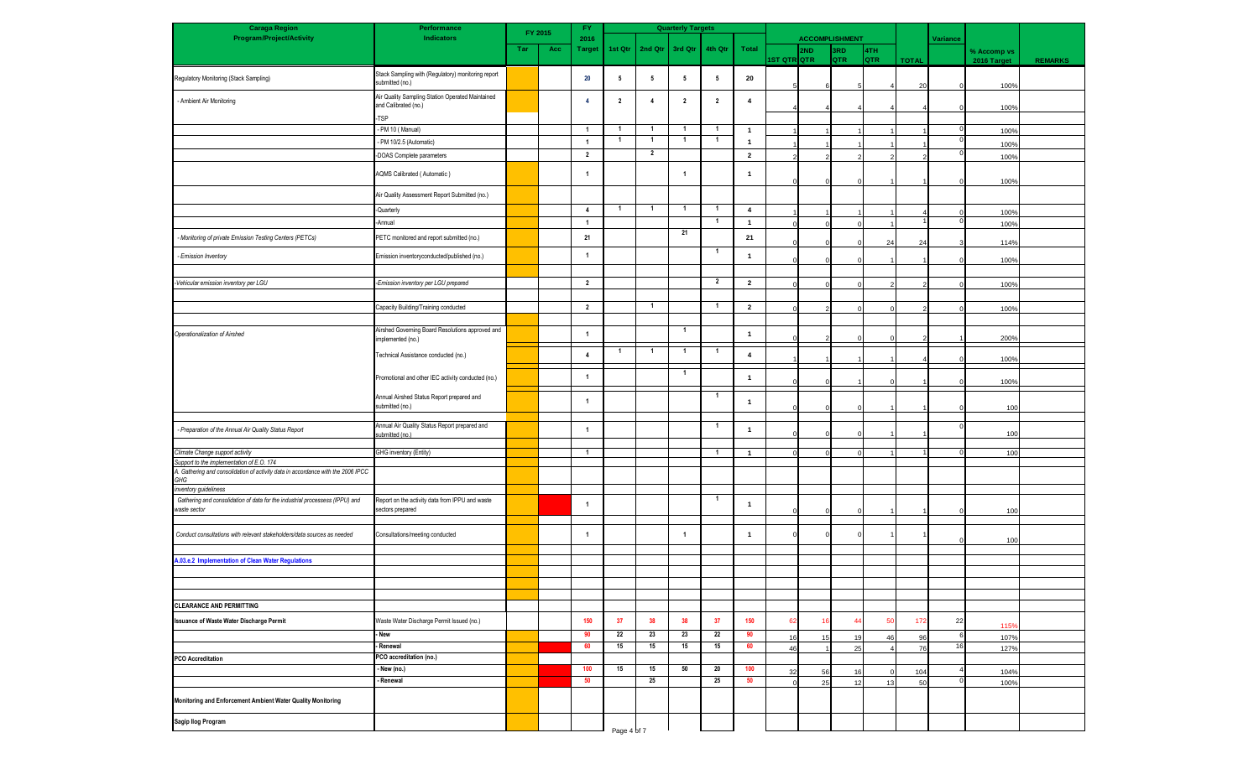| <b>Caraga Region</b>                                                                                                          | Performance                                                              | FY.<br>FY 2015 |     |                         |                |                | <b>Quarterly Targets</b> |                         |                         | <b>ACCOMPLISHMENT</b> |     |            |                   |              |            |             |                |
|-------------------------------------------------------------------------------------------------------------------------------|--------------------------------------------------------------------------|----------------|-----|-------------------------|----------------|----------------|--------------------------|-------------------------|-------------------------|-----------------------|-----|------------|-------------------|--------------|------------|-------------|----------------|
| <b>Program/Project/Activity</b>                                                                                               | <b>Indicators</b>                                                        |                |     | 2016                    |                |                |                          |                         |                         |                       |     |            |                   |              | Variance   |             |                |
|                                                                                                                               |                                                                          | Tar            | Acc | Target                  | 1st Qtr        | 2nd Qtr        | 3rd Qtr                  | 4th Qtr                 | Total                   | 1ST QTR QTR           | 2ND | 3RD<br>QTR | 4TH<br><b>QTR</b> |              |            | % Accomp vs |                |
|                                                                                                                               |                                                                          |                |     |                         |                |                |                          |                         |                         |                       |     |            |                   | <b>TOTAL</b> |            | 2016 Target | <b>REMARKS</b> |
| Regulatory Monitoring (Stack Sampling)                                                                                        | Stack Sampling with (Regulatory) monitoring report<br>submitted (no.)    |                |     | 20                      | 5              | 5              | 5                        | $5\phantom{.0}$         | 20                      |                       |     |            |                   | 20           |            | 100%        |                |
| - Ambient Air Monitoring                                                                                                      | Air Quality Sampling Station Operated Maintained<br>and Calibrated (no.) |                |     | $\overline{4}$          | $\overline{2}$ | $\overline{4}$ | $\overline{2}$           | $\overline{\mathbf{2}}$ | $\overline{\mathbf{4}}$ |                       |     |            |                   |              |            | 100%        |                |
|                                                                                                                               | TSP                                                                      |                |     |                         |                |                |                          |                         |                         |                       |     |            |                   |              |            |             |                |
|                                                                                                                               | - PM 10 (Manual)                                                         |                |     | $\overline{1}$          | $\mathbf{1}$   | $\overline{1}$ | $\mathbf{1}$             | $\overline{1}$          | $\mathbf{1}$            |                       |     |            |                   |              | $\Omega$   | 100%        |                |
|                                                                                                                               | - PM 10/2.5 (Automatic)                                                  |                |     | $\overline{1}$          | $\mathbf{1}$   | $\overline{1}$ | $\mathbf{1}$             | $\overline{1}$          | $\mathbf{1}$            |                       |     |            |                   |              |            | 100%        |                |
|                                                                                                                               | -DOAS Complete parameters                                                |                |     | $\overline{2}$          |                | $\overline{2}$ |                          |                         | $\overline{2}$          |                       |     |            |                   |              |            | 100%        |                |
|                                                                                                                               | AQMS Calibrated (Automatic)                                              |                |     | $\overline{1}$          |                |                | -1                       |                         | $\mathbf{1}$            |                       |     |            |                   |              |            | 100%        |                |
|                                                                                                                               | Air Quality Assessment Report Submitted (no.)                            |                |     |                         |                |                |                          |                         |                         |                       |     |            |                   |              |            |             |                |
|                                                                                                                               | -Quarterly                                                               |                |     | $\overline{4}$          | $\overline{1}$ | $\overline{1}$ | $\mathbf{1}$             | $\overline{1}$          | $\overline{4}$          |                       |     |            |                   |              |            | 100%        |                |
|                                                                                                                               | -Annual                                                                  |                |     | $\overline{1}$          |                |                |                          | $\overline{1}$          | $\mathbf{1}$            |                       |     |            |                   |              | $^{\circ}$ | 100%        |                |
| - Monitoring of private Emission Testing Centers (PETCs)                                                                      | PETC monitored and report submitted (no.)                                |                |     | 21                      |                |                | 21                       |                         | 21                      |                       |     |            | 24                | 24           |            | 114%        |                |
| - Emission Inventory                                                                                                          | Emission inventoryconducted/published (no.)                              |                |     | $\overline{\mathbf{1}}$ |                |                |                          | $\overline{1}$          | $\mathbf{1}$            |                       |     |            |                   |              | $\Omega$   | 100%        |                |
|                                                                                                                               |                                                                          |                |     |                         |                |                |                          | $\overline{2}$          |                         |                       |     |            |                   |              |            |             |                |
| -Vehicular emission inventory per LGU                                                                                         | -Emission inventory per LGU prepared                                     |                |     | $\overline{2}$          |                |                |                          |                         | $\overline{2}$          |                       |     |            |                   |              |            | 100%        |                |
|                                                                                                                               |                                                                          |                |     |                         |                | $\overline{1}$ |                          | $\overline{1}$          |                         |                       |     |            |                   |              |            |             |                |
|                                                                                                                               | Capacity Building/Training conducted                                     |                |     | $\overline{2}$          |                |                |                          |                         | $\overline{2}$          |                       |     |            |                   |              |            | 100%        |                |
|                                                                                                                               | Airshed Governing Board Resolutions approved and                         |                |     |                         |                |                | $\mathbf{1}$             |                         |                         |                       |     |            |                   |              |            |             |                |
| Operationalization of Airshed                                                                                                 | implemented (no.)                                                        |                |     | $\overline{1}$          |                |                |                          |                         | $\mathbf{1}$            |                       |     |            |                   |              |            | 200%        |                |
|                                                                                                                               | Technical Assistance conducted (no.)                                     |                |     | $\overline{4}$          | $\overline{1}$ | $\overline{1}$ | $\overline{1}$           | $\overline{1}$          | $\overline{\mathbf{4}}$ |                       |     |            |                   |              |            | 100%        |                |
|                                                                                                                               | Promotional and other IEC activity conducted (no.)                       |                |     | $\overline{1}$          |                |                |                          |                         | $\mathbf{1}$            |                       |     |            |                   |              |            | 100%        |                |
|                                                                                                                               | Annual Airshed Status Report prepared and<br>submitted (no.)             |                |     | $\overline{1}$          |                |                |                          | -1                      | $\mathbf{1}$            |                       |     |            |                   |              |            | 100         |                |
|                                                                                                                               | Annual Air Quality Status Report prepared and                            |                |     |                         |                |                |                          | $\overline{1}$          |                         |                       |     |            |                   |              |            |             |                |
| - Preparation of the Annual Air Quality Status Report                                                                         | submitted (no.)                                                          |                |     | $\overline{\mathbf{1}}$ |                |                |                          |                         | $\mathbf{1}$            |                       |     |            |                   |              |            | 100         |                |
| Climate Change support activity                                                                                               | GHG inventory (Entity)                                                   |                |     | $\overline{1}$          |                |                |                          | $\overline{1}$          | $\mathbf{1}$            |                       |     |            |                   |              |            | 100         |                |
| Support to the implementation of E.O. 174<br>A. Gathering and consolidation of activity data in accordance with the 2006 IPCC |                                                                          |                |     |                         |                |                |                          |                         |                         |                       |     |            |                   |              |            |             |                |
| GHG                                                                                                                           |                                                                          |                |     |                         |                |                |                          |                         |                         |                       |     |            |                   |              |            |             |                |
| inventory guideliness                                                                                                         |                                                                          |                |     |                         |                |                |                          |                         |                         |                       |     |            |                   |              |            |             |                |
| Gathering and consolidation of data for the industrial processess (IPPU) and<br>waste sector                                  | Report on the activity data from IPPU and waste<br>sectors prepared      |                |     | $\overline{1}$          |                |                |                          | $\overline{1}$          | $\mathbf{1}$            |                       |     |            |                   |              |            | 100         |                |
|                                                                                                                               |                                                                          |                |     |                         |                |                |                          |                         |                         |                       |     |            |                   |              |            |             |                |
| Conduct consultations with relevant stakeholders/data sources as needed                                                       | Consultations/meeting conducted                                          |                |     |                         |                |                |                          |                         | $\mathbf{1}$            |                       |     |            |                   |              |            | 100         |                |
| A.03.e.2 Implementation of Clean Water Regulations                                                                            |                                                                          |                |     |                         |                |                |                          |                         |                         |                       |     |            |                   |              |            |             |                |
|                                                                                                                               |                                                                          |                |     |                         |                |                |                          |                         |                         |                       |     |            |                   |              |            |             |                |
|                                                                                                                               |                                                                          |                |     |                         |                |                |                          |                         |                         |                       |     |            |                   |              |            |             |                |
|                                                                                                                               |                                                                          |                |     |                         |                |                |                          |                         |                         |                       |     |            |                   |              |            |             |                |
| <b>CLEARANCE AND PERMITTING</b>                                                                                               |                                                                          |                |     |                         |                |                |                          |                         |                         |                       |     |            |                   |              |            |             |                |
| <b>Issuance of Waste Water Discharge Permit</b>                                                                               | Waste Water Discharge Permit Issued (no.)                                |                |     | 150                     | 37             | 38             | 38                       | 37                      | 150                     | 62                    |     |            | 50                | 172          | 22         | 115%        |                |
|                                                                                                                               | - New                                                                    |                |     | 90                      | 22             | 23             | 23                       | 22                      | 90                      | 16                    | 15  | 19         | 46                | 96           | 6          | 107%        |                |
|                                                                                                                               | - Renewal                                                                |                |     | 60                      | 15             | 15             | 15                       | 15                      | 60                      | 46                    |     | 25         |                   | 76           | 16         | 127%        |                |
| <b>PCO Accreditation</b>                                                                                                      | PCO accreditation (no.)                                                  |                |     |                         |                |                |                          |                         |                         |                       |     |            |                   |              |            |             |                |
|                                                                                                                               | - New (no.)                                                              |                |     | 100                     | 15             | 15             | 50                       | 20                      | 100                     | 32                    | 56  | 16         |                   | 104          |            | 104%        |                |
|                                                                                                                               | Renewal                                                                  |                |     | 50                      |                | 25             |                          | 25                      | 50                      |                       | 25  | 12         | 13                | 50           |            | 100%        |                |
| Monitoring and Enforcement Ambient Water Quality Monitoring                                                                   |                                                                          |                |     |                         |                |                |                          |                         |                         |                       |     |            |                   |              |            |             |                |
| Sagip Ilog Program                                                                                                            |                                                                          |                |     |                         | Page 4 of 7    |                |                          |                         |                         |                       |     |            |                   |              |            |             |                |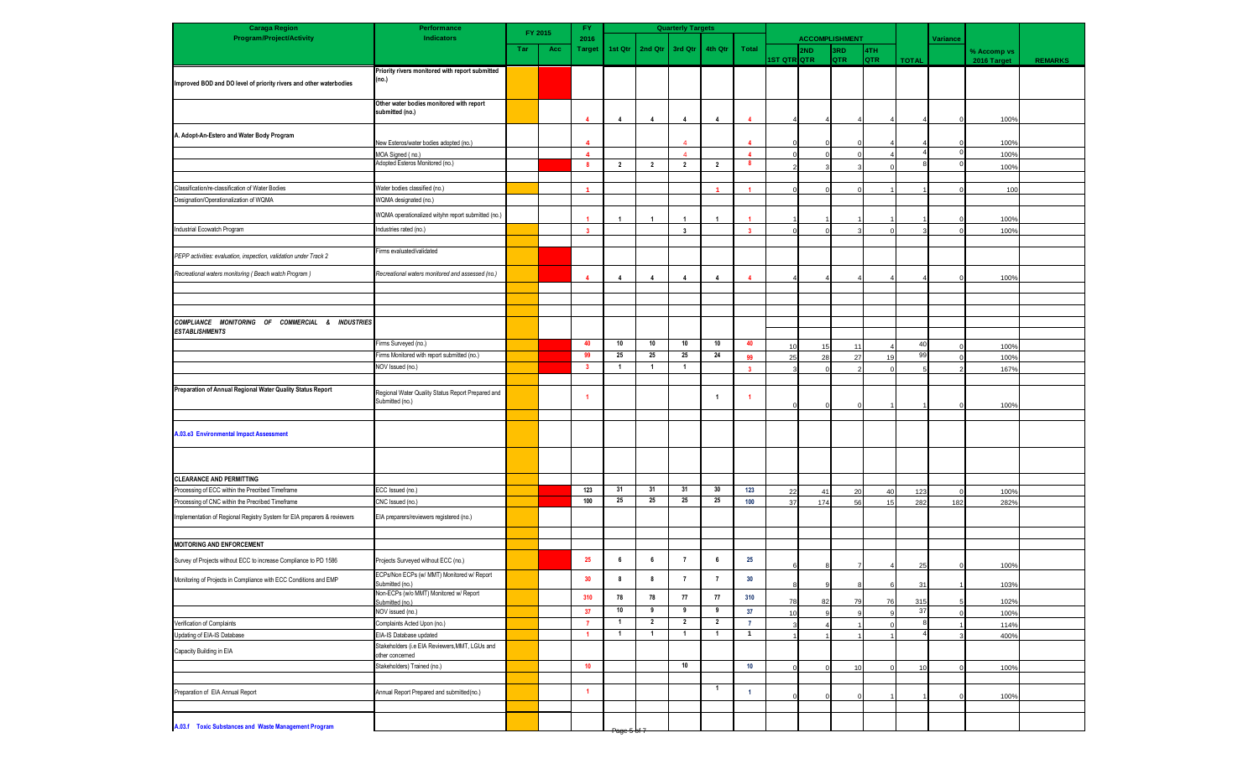| <b>Caraga Region</b>                                                     | Performance                                               | <b>Quarterly Targets</b><br><b>FY</b><br>FY 2015 |     |                         |                |                |                         |                         |                         |             |     |                       |                   |              |          |             |                |
|--------------------------------------------------------------------------|-----------------------------------------------------------|--------------------------------------------------|-----|-------------------------|----------------|----------------|-------------------------|-------------------------|-------------------------|-------------|-----|-----------------------|-------------------|--------------|----------|-------------|----------------|
| <b>Program/Project/Activity</b>                                          | <b>Indicators</b>                                         |                                                  |     | 2016                    |                |                |                         |                         |                         |             |     | <b>ACCOMPLISHMENT</b> |                   |              | Variance |             |                |
|                                                                          |                                                           | Tar                                              | Acc | <b>Target</b>           | 1st Qtr        | 2nd Qtr        | 3rd Qtr                 | 4th Qtr                 | Total                   | IST QTR QTR | 2ND | 3RD<br><b>QTR</b>     | 4TH<br><b>QTR</b> |              |          | % Accomp vs | <b>REMARKS</b> |
|                                                                          | Priority rivers monitored with report submitted           |                                                  |     |                         |                |                |                         |                         |                         |             |     |                       |                   | <b>TOTAL</b> |          | 2016 Target |                |
| Improved BOD and DO level of priority rivers and other waterbodies       | (no.)                                                     |                                                  |     |                         |                |                |                         |                         |                         |             |     |                       |                   |              |          |             |                |
|                                                                          |                                                           |                                                  |     |                         |                |                |                         |                         |                         |             |     |                       |                   |              |          |             |                |
|                                                                          | Other water bodies monitored with report                  |                                                  |     |                         |                |                |                         |                         |                         |             |     |                       |                   |              |          |             |                |
|                                                                          | submitted (no.)                                           |                                                  |     |                         | $\overline{4}$ | $\overline{4}$ | 4                       | $\overline{4}$          | $\overline{4}$          |             |     |                       |                   |              | $\Omega$ | 100%        |                |
|                                                                          |                                                           |                                                  |     |                         |                |                |                         |                         |                         |             |     |                       |                   |              |          |             |                |
| A. Adopt-An-Estero and Water Body Program                                | New Esteros/water bodies adopted (no.)                    |                                                  |     |                         |                |                |                         |                         |                         |             |     |                       |                   |              |          | 100%        |                |
|                                                                          | MOA Signed (no.)                                          |                                                  |     | $\boldsymbol{\Delta}$   |                |                | $\boldsymbol{A}$        |                         | $\overline{4}$          |             |     | $\Omega$              |                   |              | $\Omega$ | 100%        |                |
|                                                                          | Adopted Esteros Monitored (no.)                           |                                                  |     | 8                       | $\overline{2}$ | $\overline{2}$ | $\overline{2}$          | $\overline{2}$          | 8                       |             |     |                       |                   |              |          | 100%        |                |
|                                                                          |                                                           |                                                  |     |                         |                |                |                         |                         |                         |             |     |                       |                   |              |          |             |                |
| Classification/re-classification of Water Bodies                         | Water bodies classified (no.)                             |                                                  |     | $\blacktriangleleft$    |                |                |                         | $\overline{1}$          | $\overline{4}$          |             |     |                       |                   |              |          | 100         |                |
| Designation/Operationalization of WQMA                                   | WQMA designated (no.)                                     |                                                  |     |                         |                |                |                         |                         |                         |             |     |                       |                   |              |          |             |                |
|                                                                          | WQMA operationalized wityhn report submitted (no.)        |                                                  |     |                         |                |                |                         |                         |                         |             |     |                       |                   |              |          |             |                |
|                                                                          |                                                           |                                                  |     |                         | -1             | $\overline{1}$ |                         | $\overline{\mathbf{1}}$ |                         |             |     |                       |                   |              |          | 100%        |                |
| Industrial Ecowatch Program                                              | Industries rated (no.)                                    |                                                  |     | $\overline{\mathbf{3}}$ |                |                | $\overline{\mathbf{3}}$ |                         | $\overline{\mathbf{3}}$ |             |     |                       | £                 |              | $\Omega$ | 100%        |                |
|                                                                          | Firms evaluated/validated                                 |                                                  |     |                         |                |                |                         |                         |                         |             |     |                       |                   |              |          |             |                |
| PEPP activities: evaluation, inspection, validation under Track 2        |                                                           |                                                  |     |                         |                |                |                         |                         |                         |             |     |                       |                   |              |          |             |                |
| Recreational waters monitoring (Beach watch Program)                     | Recreational waters monitored and assessed (no.)          |                                                  |     |                         | $\overline{4}$ | $\overline{4}$ | $\overline{4}$          | $\overline{\mathbf{4}}$ | $\overline{4}$          |             |     |                       |                   |              |          | 100%        |                |
|                                                                          |                                                           |                                                  |     |                         |                |                |                         |                         |                         |             |     |                       |                   |              |          |             |                |
|                                                                          |                                                           |                                                  |     |                         |                |                |                         |                         |                         |             |     |                       |                   |              |          |             |                |
|                                                                          |                                                           |                                                  |     |                         |                |                |                         |                         |                         |             |     |                       |                   |              |          |             |                |
| COMPLIANCE MONITORING OF COMMERCIAL & INDUSTRIES                         |                                                           |                                                  |     |                         |                |                |                         |                         |                         |             |     |                       |                   |              |          |             |                |
| <b>ESTABLISHMENTS</b>                                                    |                                                           |                                                  |     |                         |                |                |                         |                         |                         |             |     |                       |                   |              |          |             |                |
|                                                                          | Firms Surveyed (no.)                                      |                                                  |     | 40                      | 10             | 10             | 10                      | 10                      | 40                      | 10          | 15  | 11                    |                   | 40           |          | 100%        |                |
|                                                                          | Firms Monitored with report submitted (no.)               |                                                  |     | 99                      | 25             | 25             | 25                      | 24                      | 99                      | 25          | 28  | 27                    | 19                | 99           |          | 100%        |                |
|                                                                          | NOV Issued (no.)                                          |                                                  |     | $\mathbf{3}$            | $\overline{1}$ | 1              | $\mathbf{1}$            |                         | $\overline{\mathbf{3}}$ |             |     |                       |                   |              |          | 167%        |                |
|                                                                          |                                                           |                                                  |     |                         |                |                |                         |                         |                         |             |     |                       |                   |              |          |             |                |
| Preparation of Annual Regional Water Quality Status Report               | Regional Water Quality Status Report Prepared and         |                                                  |     |                         |                |                |                         | -1                      | 1                       |             |     |                       |                   |              |          |             |                |
|                                                                          | Submitted (no.)                                           |                                                  |     |                         |                |                |                         |                         |                         |             |     |                       |                   |              |          | 100%        |                |
|                                                                          |                                                           |                                                  |     |                         |                |                |                         |                         |                         |             |     |                       |                   |              |          |             |                |
| A.03.e3 Environmental Impact Assessment                                  |                                                           |                                                  |     |                         |                |                |                         |                         |                         |             |     |                       |                   |              |          |             |                |
|                                                                          |                                                           |                                                  |     |                         |                |                |                         |                         |                         |             |     |                       |                   |              |          |             |                |
|                                                                          |                                                           |                                                  |     |                         |                |                |                         |                         |                         |             |     |                       |                   |              |          |             |                |
|                                                                          |                                                           |                                                  |     |                         |                |                |                         |                         |                         |             |     |                       |                   |              |          |             |                |
| <b>CLEARANCE AND PERMITTING</b>                                          |                                                           |                                                  |     |                         |                |                |                         |                         |                         |             |     |                       |                   |              |          |             |                |
| Processing of ECC within the Precribed Timeframe                         | ECC Issued (no.)                                          |                                                  |     | 123                     | 31             | 31             | 31                      | 30                      | 123                     | 22          | 41  | 20                    | 40                | 123          |          | 100%        |                |
| Processing of CNC within the Precribed Timeframe                         | CNC Issued (no.)                                          |                                                  |     | 100                     | 25             | 25             | 25                      | 25                      | 100                     | 37          | 174 | 56                    | 15                | 282          | 182      | 282%        |                |
| Implementation of Regional Registry System for EIA preparers & reviewers | EIA preparers/reviewers registered (no.)                  |                                                  |     |                         |                |                |                         |                         |                         |             |     |                       |                   |              |          |             |                |
|                                                                          |                                                           |                                                  |     |                         |                |                |                         |                         |                         |             |     |                       |                   |              |          |             |                |
|                                                                          |                                                           |                                                  |     |                         |                |                |                         |                         |                         |             |     |                       |                   |              |          |             |                |
| <b>MOITORING AND ENFORCEMENT</b>                                         |                                                           |                                                  |     |                         |                |                |                         |                         |                         |             |     |                       |                   |              |          |             |                |
| Survey of Projects without ECC to increase Compliance to PD 1586         | Projects Surveyed without ECC (no.)                       |                                                  |     | 25                      | 6              | 6              | $\overline{7}$          | 6                       | 25                      |             |     |                       |                   | 25           |          | 100%        |                |
| Monitoring of Projects in Compliance with ECC Conditions and EMP         | ECPs/Non ECPs (w/ MMT) Monitored w/ Report                |                                                  |     | 30                      | $\mathbf{R}$   | 8              | $\overline{7}$          | $\overline{7}$          | 30                      |             |     |                       |                   |              |          |             |                |
|                                                                          | Submitted (no.)                                           |                                                  |     |                         |                |                |                         |                         |                         |             |     |                       |                   | -31          |          | <u>103%</u> |                |
|                                                                          | Non-ECPs (w/o MMT) Monitored w/ Report<br>Submitted (no.) |                                                  |     | 310                     | 78             | 78             | 77                      | 77                      | 310                     | 78          | 82  | 79                    | 76                | 315          |          | 102%        |                |
|                                                                          | NOV issued (no.)                                          |                                                  |     | 37                      | 10             | 9              | 9                       | 9                       | 37                      | 10          |     |                       |                   | 37           |          | 100%        |                |
| Verification of Complaints                                               | Complaints Acted Upon (no.)                               |                                                  |     | $\mathbf{7}$            | -1             | $\overline{2}$ | $\overline{2}$          | $\overline{2}$          | $\overline{7}$          |             |     |                       |                   | 8            |          | 114%        |                |
| Updating of EIA-IS Database                                              | EIA-IS Database updated                                   |                                                  |     | $\blacktriangleleft$    | $\mathbf{1}$   | $\overline{1}$ | $\mathbf{1}$            | $\overline{1}$          | $\mathbf{1}$            |             |     |                       |                   |              |          | 400%        |                |
| Capacity Building in EIA                                                 | Stakeholders (i.e EIA Reviewers, MMT, LGUs and            |                                                  |     |                         |                |                |                         |                         |                         |             |     |                       |                   |              |          |             |                |
|                                                                          | other concerned                                           |                                                  |     |                         |                |                |                         |                         |                         |             |     |                       |                   |              |          |             |                |
|                                                                          | Stakeholders) Trained (no.)                               |                                                  |     | 10 <sub>1</sub>         |                |                | 10                      |                         | 10                      |             |     | 10                    |                   | 10           |          | 100%        |                |
|                                                                          |                                                           |                                                  |     |                         |                |                |                         |                         |                         |             |     |                       |                   |              |          |             |                |
| Preparation of EIA Annual Report                                         | Annual Report Prepared and submitted(no.)                 |                                                  |     | $\blacktriangleleft$    |                |                |                         | $\overline{1}$          | $\overline{1}$          |             |     |                       |                   |              |          | 100%        |                |
|                                                                          |                                                           |                                                  |     |                         |                |                |                         |                         |                         |             |     |                       |                   |              |          |             |                |
|                                                                          |                                                           |                                                  |     |                         |                |                |                         |                         |                         |             |     |                       |                   |              |          |             |                |
| A.03.f Toxic Substances and Waste Management Program                     |                                                           |                                                  |     |                         | Page 6         |                |                         |                         |                         |             |     |                       |                   |              |          |             |                |
|                                                                          |                                                           |                                                  |     |                         |                |                |                         |                         |                         |             |     |                       |                   |              |          |             |                |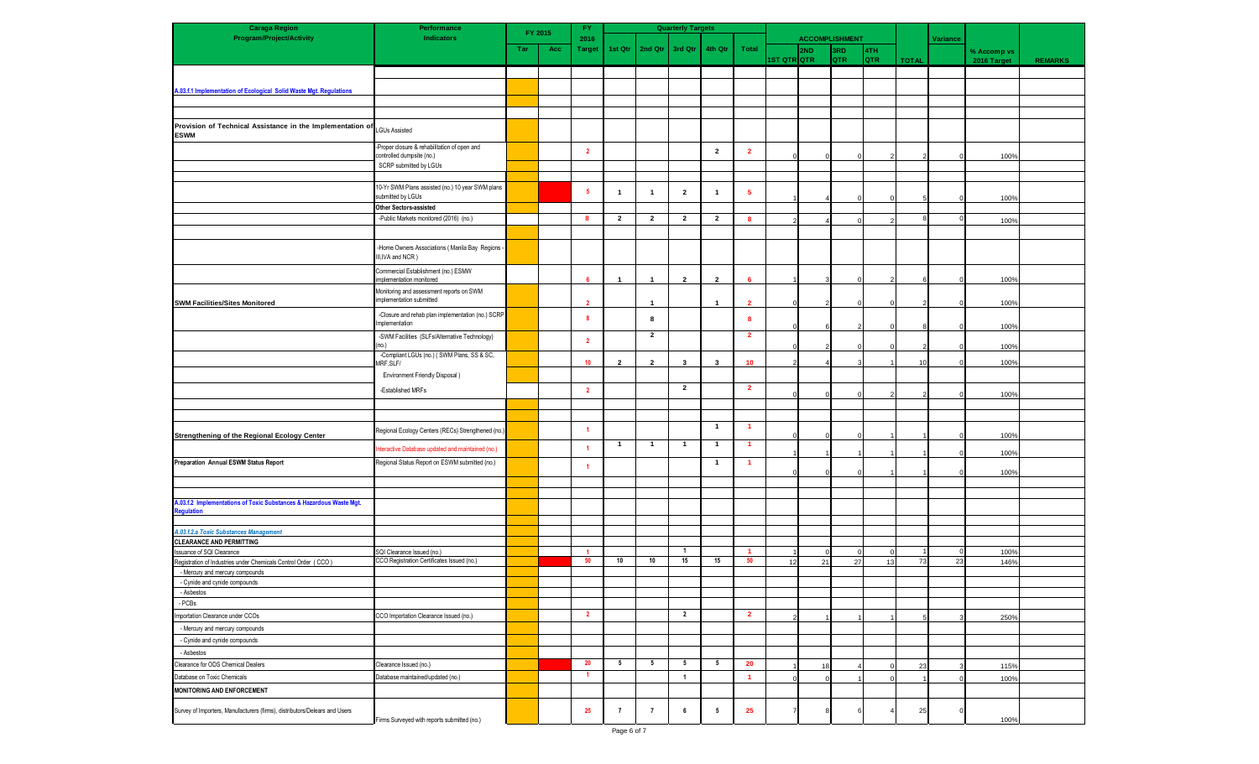| <b>Caraga Region</b>                                                                    | Performance                                                               | FY.<br>FY 2015 |     |                         |                          |                         | <b>Quarterly Targets</b> |                         |                 |             |                       |              |            |              |          |             |                |  |
|-----------------------------------------------------------------------------------------|---------------------------------------------------------------------------|----------------|-----|-------------------------|--------------------------|-------------------------|--------------------------|-------------------------|-----------------|-------------|-----------------------|--------------|------------|--------------|----------|-------------|----------------|--|
| <b>Program/Project/Activity</b>                                                         | Indicators                                                                |                |     | 2016                    |                          |                         |                          |                         |                 |             | <b>ACCOMPLISHMENT</b> |              |            |              | Variance |             |                |  |
|                                                                                         |                                                                           | Tar            | Acc | <b>Target</b>           | 1st Qtr                  | 2nd Qtr                 | 3rd Qtr                  | 4th Qtr                 | Total           |             | 2ND                   | 3RD          | 4TH        |              |          | % Accomp vs |                |  |
|                                                                                         |                                                                           |                |     |                         |                          |                         |                          |                         |                 | IST QTR QTR |                       | <b>QTR</b>   | <b>QTR</b> | <b>TOTAL</b> |          | 2016 Target | <b>REMARKS</b> |  |
|                                                                                         |                                                                           |                |     |                         |                          |                         |                          |                         |                 |             |                       |              |            |              |          |             |                |  |
| A.03.f.1 Implementation of Ecological Solid Waste Mgt. Regulations                      |                                                                           |                |     |                         |                          |                         |                          |                         |                 |             |                       |              |            |              |          |             |                |  |
|                                                                                         |                                                                           |                |     |                         |                          |                         |                          |                         |                 |             |                       |              |            |              |          |             |                |  |
|                                                                                         |                                                                           |                |     |                         |                          |                         |                          |                         |                 |             |                       |              |            |              |          |             |                |  |
|                                                                                         |                                                                           |                |     |                         |                          |                         |                          |                         |                 |             |                       |              |            |              |          |             |                |  |
| Provision of Technical Assistance in the Implementation of LGUs Assisted<br><b>ESWM</b> |                                                                           |                |     |                         |                          |                         |                          |                         |                 |             |                       |              |            |              |          |             |                |  |
|                                                                                         | -Proper closure & rehabilitation of open and<br>controlled dumpsite (no.) |                |     | $\overline{2}$          |                          |                         |                          | $\overline{2}$          | $\overline{2}$  |             |                       | $\mathbf{O}$ |            |              | $\Omega$ | 100%        |                |  |
|                                                                                         | SCRP submitted by LGUs                                                    |                |     |                         |                          |                         |                          |                         |                 |             |                       |              |            |              |          |             |                |  |
|                                                                                         |                                                                           |                |     |                         |                          |                         |                          |                         |                 |             |                       |              |            |              |          |             |                |  |
|                                                                                         | 10-Yr SWM Plans assisted (no.) 10 year SWM plans                          |                |     |                         |                          |                         |                          |                         |                 |             |                       |              |            |              |          |             |                |  |
|                                                                                         | submitted by LGUs                                                         |                |     | 5                       | $\overline{1}$           | $\overline{1}$          | $\overline{\mathbf{2}}$  | $\overline{1}$          | -5              |             |                       |              |            |              |          | 100%        |                |  |
|                                                                                         | Other Sectors-assisted                                                    |                |     |                         |                          |                         |                          |                         |                 |             |                       |              |            |              |          |             |                |  |
|                                                                                         | -Public Markets monitored (2016) (no.)                                    |                |     | 8                       | $\overline{2}$           | $\overline{2}$          | $\overline{2}$           | $\overline{2}$          | 8               |             |                       | $\Omega$     |            |              | $\Omega$ | 100%        |                |  |
|                                                                                         |                                                                           |                |     |                         |                          |                         |                          |                         |                 |             |                       |              |            |              |          |             |                |  |
|                                                                                         |                                                                           |                |     |                         |                          |                         |                          |                         |                 |             |                       |              |            |              |          |             |                |  |
|                                                                                         | -Home Owners Associations ( Manila Bay Regions<br>III, IVA and NCR)       |                |     |                         |                          |                         |                          |                         |                 |             |                       |              |            |              |          |             |                |  |
|                                                                                         |                                                                           |                |     |                         |                          |                         |                          |                         |                 |             |                       |              |            |              |          |             |                |  |
|                                                                                         | Commercial Establishment (no.) ESMW<br>implementation monitored           |                |     | 6                       | $\mathbf{1}$             | $\overline{\mathbf{1}}$ | $\overline{2}$           | $\mathbf{2}$            | 6               |             |                       | $\Omega$     |            |              |          | 100%        |                |  |
|                                                                                         | Monitoring and assessment reports on SWM                                  |                |     |                         |                          |                         |                          |                         |                 |             |                       |              |            |              |          |             |                |  |
| <b>SWM Facilities/Sites Monitored</b>                                                   | implementation submitted                                                  |                |     |                         |                          | $\mathbf{1}$            |                          | $\overline{1}$          | $\overline{2}$  |             |                       |              |            |              |          | 100%        |                |  |
|                                                                                         |                                                                           |                |     |                         |                          |                         |                          |                         |                 |             |                       |              |            |              |          |             |                |  |
|                                                                                         | -Closure and rehab plan implementation (no.) SCRP<br>Implementation       |                |     | -8                      |                          | 8                       |                          |                         | 8               |             |                       |              |            |              |          |             |                |  |
|                                                                                         | -SWM Facilities (SLFs/Alternative Technology)                             |                |     |                         |                          | $\overline{2}$          |                          |                         | $\overline{2}$  |             |                       |              |            |              |          | 100%        |                |  |
|                                                                                         | (no.)                                                                     |                |     | $\overline{2}$          |                          |                         |                          |                         |                 |             |                       |              |            |              |          | 100%        |                |  |
|                                                                                         | -Compliant LGUs (no.) ( SWM Plans, SS & SC,                               |                |     |                         |                          |                         |                          |                         |                 |             |                       |              |            |              |          |             |                |  |
|                                                                                         | MRF.SLF/                                                                  |                |     | 10                      | $\overline{\phantom{a}}$ | $\overline{2}$          | $\mathbf{3}$             | 3                       | 10 <sub>1</sub> |             |                       |              |            | 10           |          | 100%        |                |  |
|                                                                                         | Environment Friendly Disposal)                                            |                |     |                         |                          |                         |                          |                         |                 |             |                       |              |            |              |          |             |                |  |
|                                                                                         | -Established MRFs                                                         |                |     | $\overline{2}$          |                          |                         | $\overline{2}$           |                         | $\overline{2}$  |             |                       |              |            |              |          |             |                |  |
|                                                                                         |                                                                           |                |     |                         |                          |                         |                          |                         |                 |             |                       | $\Omega$     |            |              |          | 100%        |                |  |
|                                                                                         |                                                                           |                |     |                         |                          |                         |                          |                         |                 |             |                       |              |            |              |          |             |                |  |
|                                                                                         |                                                                           |                |     |                         |                          |                         |                          | $\overline{\mathbf{1}}$ | $\overline{1}$  |             |                       |              |            |              |          |             |                |  |
| Strengthening of the Regional Ecology Center                                            | Regional Ecology Centers (RECs) Strengthened (no.)                        |                |     | -1                      |                          |                         |                          |                         |                 |             |                       | $\Omega$     |            |              |          | 100%        |                |  |
|                                                                                         | teractive Database updated and maintained (no.)                           |                |     | $\overline{1}$          | $\mathbf{1}$             | $\mathbf{1}$            | $\mathbf{1}$             | $\overline{1}$          | $\overline{1}$  |             |                       |              |            |              |          |             |                |  |
|                                                                                         |                                                                           |                |     |                         |                          |                         |                          |                         |                 |             |                       |              |            |              |          | 100%        |                |  |
| Preparation Annual ESWM Status Report                                                   | Regional Status Report on ESWM submitted (no.)                            |                |     | $\overline{1}$          |                          |                         |                          | $\overline{1}$          | $\overline{1}$  |             |                       |              |            |              |          | 100%        |                |  |
|                                                                                         |                                                                           |                |     |                         |                          |                         |                          |                         |                 |             |                       |              |            |              |          |             |                |  |
|                                                                                         |                                                                           |                |     |                         |                          |                         |                          |                         |                 |             |                       |              |            |              |          |             |                |  |
| A.03.f.2 Implementations of Toxic Substances & Hazardous Waste Mgt.                     |                                                                           |                |     |                         |                          |                         |                          |                         |                 |             |                       |              |            |              |          |             |                |  |
| egulation                                                                               |                                                                           |                |     |                         |                          |                         |                          |                         |                 |             |                       |              |            |              |          |             |                |  |
|                                                                                         |                                                                           |                |     |                         |                          |                         |                          |                         |                 |             |                       |              |            |              |          |             |                |  |
| A.03.f.2.a Toxic Substances Management<br><b>CLEARANCE AND PERMITTING</b>               |                                                                           |                |     |                         |                          |                         |                          |                         |                 |             |                       |              |            |              |          |             |                |  |
| Issuance of SQI Clearance                                                               | SQI Clearance Issued (no.)                                                |                |     | 1                       |                          |                         | $\overline{1}$           |                         | $\overline{1}$  |             |                       |              |            |              |          | 100%        |                |  |
| Registration of Industries under Chemicals Control Order (CCO)                          | CCO Registration Certificates Issued (no.)                                |                |     | 50                      | $10$                     | $10\,$                  | 15                       | 15                      | 50              | 12          | 21                    | 27           | 13         | 73           | 23       | 146%        |                |  |
| - Mercury and mercury compounds                                                         |                                                                           |                |     |                         |                          |                         |                          |                         |                 |             |                       |              |            |              |          |             |                |  |
| - Cynide and cynide compounds                                                           |                                                                           |                |     |                         |                          |                         |                          |                         |                 |             |                       |              |            |              |          |             |                |  |
| - Asbestos                                                                              |                                                                           |                |     |                         |                          |                         |                          |                         |                 |             |                       |              |            |              |          |             |                |  |
| - PCBs                                                                                  |                                                                           |                |     |                         |                          |                         |                          |                         |                 |             |                       |              |            |              |          |             |                |  |
| Importation Clearance under CCOs                                                        | CCO Importation Clearance Issued (no.)                                    |                |     | $\overline{\mathbf{2}}$ |                          |                         | $\overline{2}$           |                         | $\overline{2}$  |             |                       |              |            |              |          | 250%        |                |  |
| - Mercury and mercury compounds                                                         |                                                                           |                |     |                         |                          |                         |                          |                         |                 |             |                       |              |            |              |          |             |                |  |
| - Cynide and cynide compounds                                                           |                                                                           |                |     |                         |                          |                         |                          |                         |                 |             |                       |              |            |              |          |             |                |  |
| - Asbestos                                                                              |                                                                           |                |     |                         |                          |                         |                          |                         |                 |             |                       |              |            |              |          |             |                |  |
| Clearance for ODS Chemical Dealers                                                      | Clearance Issued (no.)                                                    |                |     | 20                      | 5                        | $5\phantom{.0}$         | $5\phantom{.0}$          | $5\phantom{.0}$         | 20              |             | 18                    |              |            | 23           |          |             |                |  |
| Database on Toxic Chemicals                                                             | Database maintained/updated (no.)                                         |                |     | 1                       |                          |                         | $\overline{1}$           |                         | $\overline{1}$  |             |                       |              |            |              |          | 115%        |                |  |
|                                                                                         |                                                                           |                |     |                         |                          |                         |                          |                         |                 |             |                       |              |            |              |          | 100%        |                |  |
| MONITORING AND ENFORCEMENT                                                              |                                                                           |                |     |                         |                          |                         |                          |                         |                 |             |                       |              |            |              |          |             |                |  |
| Survey of Importers, Manufacturers (firms), distributors/Delears and Users              | Firms Surveyed with reports submitted (no.)                               |                |     | 25                      | $\overline{7}$           | $\overline{7}$          | 6                        | $5\phantom{.0}$         | 25              |             |                       |              |            | 25           | $\Omega$ | 100%        |                |  |